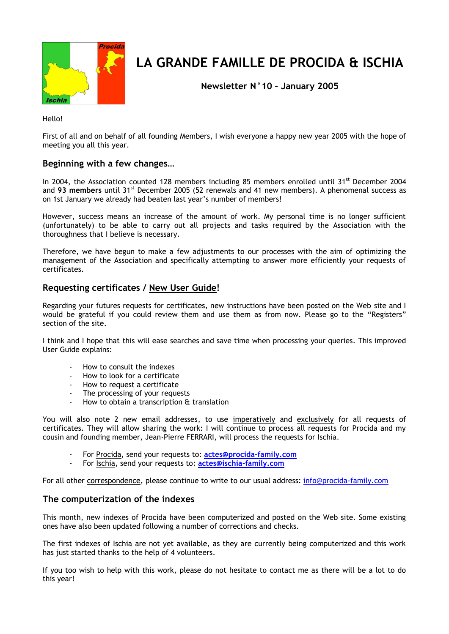

# **LA GRANDE FAMILLE DE PROCIDA & ISCHIA**

**Newsletter N°10 – January 2005**

Hello!

First of all and on behalf of all founding Members, I wish everyone a happy new year 2005 with the hope of meeting you all this year.

# **Beginning with a few changes…**

In 2004, the Association counted 128 members including 85 members enrolled until 31<sup>st</sup> December 2004 and 93 members until 31<sup>st</sup> December 2005 (52 renewals and 41 new members). A phenomenal success as on 1st January we already had beaten last year's number of members!

However, success means an increase of the amount of work. My personal time is no longer sufficient (unfortunately) to be able to carry out all projects and tasks required by the Association with the thoroughness that I believe is necessary.

Therefore, we have begun to make a few adjustments to our processes with the aim of optimizing the management of the Association and specifically attempting to answer more efficiently your requests of certificates.

### **Requesting certificates / New User Guide!**

Regarding your futures requests for certificates, new instructions have been posted on the Web site and I would be grateful if you could review them and use them as from now. Please go to the "Registers" section of the site.

I think and I hope that this will ease searches and save time when processing your queries. This improved User Guide explains:

- How to consult the indexes
- How to look for a certificate
- How to request a certificate
- The processing of your requests
- How to obtain a transcription & translation

You will also note 2 new email addresses, to use imperatively and exclusively for all requests of certificates. They will allow sharing the work: I will continue to process all requests for Procida and my cousin and founding member, Jean-Pierre FERRARI, will process the requests for Ischia.

- For Procida, send your requests to: **[actes@procida-family.com](mailto:actes@procida-family.com)**
- For Ischia, send your requests to: **[actes@ischia-family.com](mailto:actes@ischia-family.com)**

For all other correspondence, please continue to write to our usual address: [info@procida-family.com](mailto:info@procida-family.com)

#### **The computerization of the indexes**

This month, new indexes of Procida have been computerized and posted on the Web site. Some existing ones have also been updated following a number of corrections and checks.

The first indexes of Ischia are not yet available, as they are currently being computerized and this work has just started thanks to the help of 4 volunteers.

If you too wish to help with this work, please do not hesitate to contact me as there will be a lot to do this year!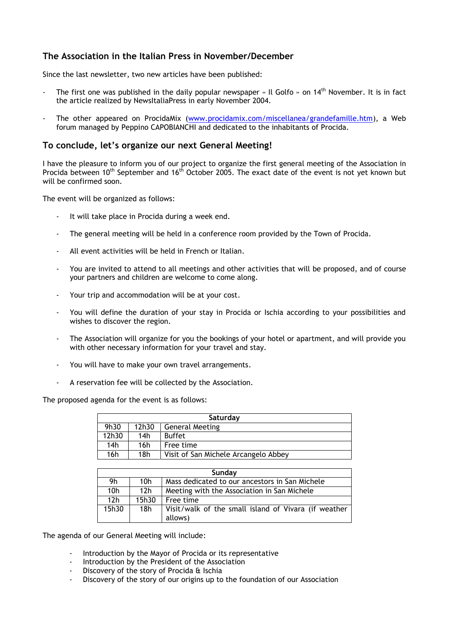# **The Association in the Italian Press in November/December**

Since the last newsletter, two new articles have been published:

- The first one was published in the daily popular newspaper « Il Golfo » on  $14<sup>th</sup>$  November. It is in fact the article realized by NewsItaliaPress in early November 2004.
- The other appeared on ProcidaMix [\(www.procidamix.com/miscellanea/grandefamille.htm\)](http://www.procidamix.com/miscellanea/grandefamille.htm), a Web forum managed by Peppino CAPOBIANCHI and dedicated to the inhabitants of Procida.

#### **To conclude, let's organize our next General Meeting!**

I have the pleasure to inform you of our project to organize the first general meeting of the Association in Procida between 10<sup>th</sup> September and 16<sup>th</sup> October 2005. The exact date of the event is not yet known but will be confirmed soon.

The event will be organized as follows:

- It will take place in Procida during a week end.
- The general meeting will be held in a conference room provided by the Town of Procida.
- All event activities will be held in French or Italian.
- You are invited to attend to all meetings and other activities that will be proposed, and of course your partners and children are welcome to come along.
- Your trip and accommodation will be at your cost.
- You will define the duration of your stay in Procida or Ischia according to your possibilities and wishes to discover the region.
- The Association will organize for you the bookings of your hotel or apartment, and will provide you with other necessary information for your travel and stay.
- You will have to make your own travel arrangements.
- A reservation fee will be collected by the Association.

The proposed agenda for the event is as follows:

| Saturday        |       |                                      |  |
|-----------------|-------|--------------------------------------|--|
| 9h30            | 12h30 | <b>General Meeting</b>               |  |
| 12h30           | 14h   | <b>Buffet</b>                        |  |
| 14 <sub>h</sub> | 16h   | Free time                            |  |
| 16h             | 18h   | Visit of San Michele Arcangelo Abbey |  |

| Sunday          |                 |                                                      |  |
|-----------------|-----------------|------------------------------------------------------|--|
| 9h              | 10h             | Mass dedicated to our ancestors in San Michele       |  |
| 10 <sub>h</sub> | 12 <sub>h</sub> | Meeting with the Association in San Michele          |  |
| 12 <sub>h</sub> | 15h30           | Free time                                            |  |
| 15h30           | 18 <sub>h</sub> | Visit/walk of the small island of Vivara (if weather |  |
|                 |                 | allows)                                              |  |

The agenda of our General Meeting will include:

- Introduction by the Mayor of Procida or its representative
- Introduction by the President of the Association
- Discovery of the story of Procida & Ischia
- Discovery of the story of our origins up to the foundation of our Association